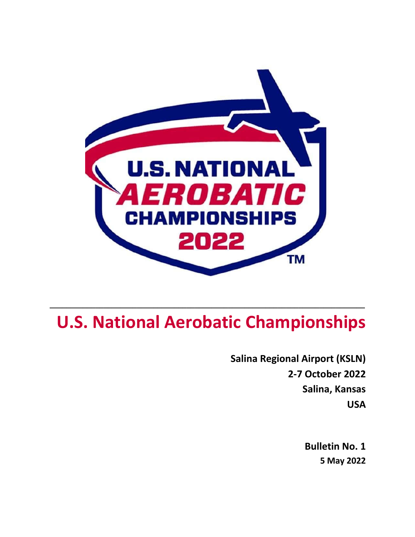

# **U.S. National Aerobatic Championships**

**\_\_\_\_\_\_\_\_\_\_\_\_\_\_\_\_\_\_\_\_\_\_\_\_\_\_\_\_\_\_\_\_\_\_\_\_\_\_\_\_\_\_\_\_\_\_\_\_\_\_\_\_\_\_\_\_\_\_\_\_\_\_\_\_\_\_\_\_\_\_\_\_\_\_\_\_**

**Salina Regional Airport (KSLN) 2-7 October 2022 Salina, Kansas USA**

> **Bulletin No. 1 5 May 2022**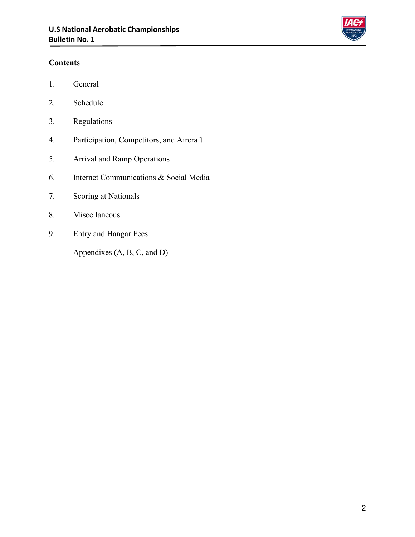

#### **Contents**

- 1. General
- 2. Schedule
- 3. Regulations
- 4. Participation, Competitors, and Aircraft
- 5. Arrival and Ramp Operations
- 6. Internet Communications & Social Media
- 7. Scoring at Nationals
- 8. Miscellaneous
- 9. Entry and Hangar Fees

Appendixes (A, B, C, and D)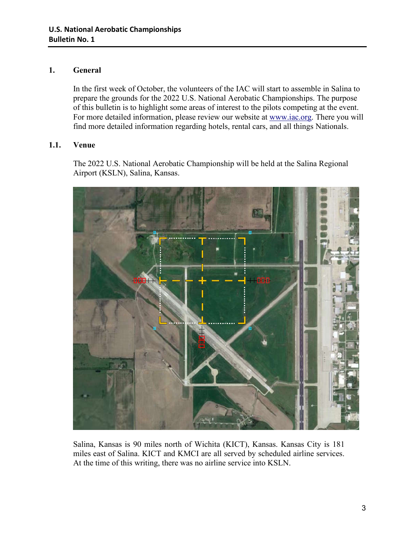#### **1. General**

In the first week of October, the volunteers of the IAC will start to assemble in Salina to prepare the grounds for the 2022 U.S. National Aerobatic Championships. The purpose of this bulletin is to highlight some areas of interest to the pilots competing at the event. For more detailed information, please review our website at www.iac.org. There you will find more detailed information regarding hotels, rental cars, and all things Nationals.

#### **1.1. Venue**

The 2022 U.S. National Aerobatic Championship will be held at the Salina Regional Airport (KSLN), Salina, Kansas.



Salina, Kansas is 90 miles north of Wichita (KICT), Kansas. Kansas City is 181 miles east of Salina. KICT and KMCI are all served by scheduled airline services. At the time of this writing, there was no airline service into KSLN.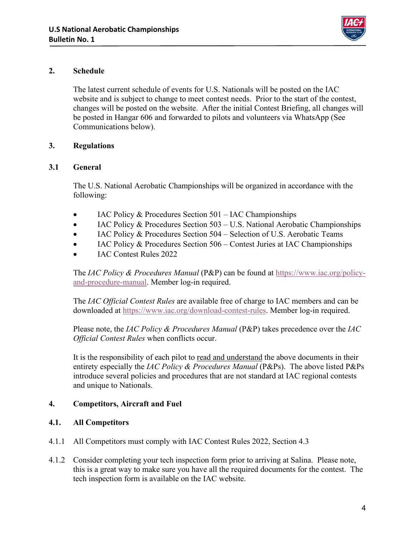

#### **2. Schedule**

The latest current schedule of events for U.S. Nationals will be posted on the IAC website and is subject to change to meet contest needs. Prior to the start of the contest, changes will be posted on the website. After the initial Contest Briefing, all changes will be posted in Hangar 606 and forwarded to pilots and volunteers via WhatsApp (See Communications below).

#### **3. Regulations**

#### **3.1 General**

The U.S. National Aerobatic Championships will be organized in accordance with the following:

- $\bullet$  IAC Policy & Procedures Section 501 IAC Championships
- $\bullet$  IAC Policy & Procedures Section 503 U.S. National Aerobatic Championships
- IAC Policy & Procedures Section 504 Selection of U.S. Aerobatic Teams
- $\bullet$  IAC Policy & Procedures Section 506 Contest Juries at IAC Championships
- IAC Contest Rules 2022

The *IAC Policy & Procedures Manual* (P&P) can be found at https://www.iac.org/policyand-procedure-manual. Member log-in required.

The *IAC Official Contest Rules* are available free of charge to IAC members and can be downloaded at https://www.iac.org/download-contest-rules. Member log-in required.

Please note, the *IAC Policy & Procedures Manual* (P&P) takes precedence over the *IAC Official Contest Rules* when conflicts occur.

It is the responsibility of each pilot to read and understand the above documents in their entirety especially the *IAC Policy & Procedures Manual* (P&Ps). The above listed P&Ps introduce several policies and procedures that are not standard at IAC regional contests and unique to Nationals.

#### **4. Competitors, Aircraft and Fuel**

#### **4.1. All Competitors**

- 4.1.1 All Competitors must comply with IAC Contest Rules 2022, Section 4.3
- 4.1.2 Consider completing your tech inspection form prior to arriving at Salina. Please note, this is a great way to make sure you have all the required documents for the contest. The tech inspection form is available on the IAC website.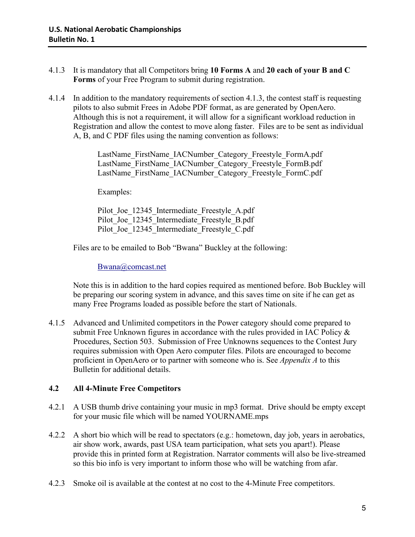- 4.1.3 It is mandatory that all Competitors bring **10 Forms A** and **20 each of your B and C Forms** of your Free Program to submit during registration.
- 4.1.4 In addition to the mandatory requirements of section 4.1.3, the contest staff is requesting pilots to also submit Frees in Adobe PDF format, as are generated by OpenAero. Although this is not a requirement, it will allow for a significant workload reduction in Registration and allow the contest to move along faster. Files are to be sent as individual A, B, and C PDF files using the naming convention as follows:

LastName\_FirstName\_IACNumber\_Category\_Freestyle\_FormA.pdf LastName\_FirstName\_IACNumber\_Category\_Freestyle\_FormB.pdf LastName\_FirstName\_IACNumber\_Category\_Freestyle\_FormC.pdf

Examples:

Pilot Joe 12345 Intermediate Freestyle A.pdf Pilot Joe 12345 Intermediate Freestyle B.pdf Pilot Joe 12345 Intermediate Freestyle C.pdf

Files are to be emailed to Bob "Bwana" Buckley at the following:

Bwana@comcast.net

Note this is in addition to the hard copies required as mentioned before. Bob Buckley will be preparing our scoring system in advance, and this saves time on site if he can get as many Free Programs loaded as possible before the start of Nationals.

4.1.5 Advanced and Unlimited competitors in the Power category should come prepared to submit Free Unknown figures in accordance with the rules provided in IAC Policy & Procedures, Section 503. Submission of Free Unknowns sequences to the Contest Jury requires submission with Open Aero computer files. Pilots are encouraged to become proficient in OpenAero or to partner with someone who is. See *Appendix A* to this Bulletin for additional details.

#### **4.2 All 4-Minute Free Competitors**

- 4.2.1 A USB thumb drive containing your music in mp3 format. Drive should be empty except for your music file which will be named YOURNAME.mps
- 4.2.2 A short bio which will be read to spectators (e.g.: hometown, day job, years in aerobatics, air show work, awards, past USA team participation, what sets you apart!). Please provide this in printed form at Registration. Narrator comments will also be live-streamed so this bio info is very important to inform those who will be watching from afar.
- 4.2.3 Smoke oil is available at the contest at no cost to the 4-Minute Free competitors.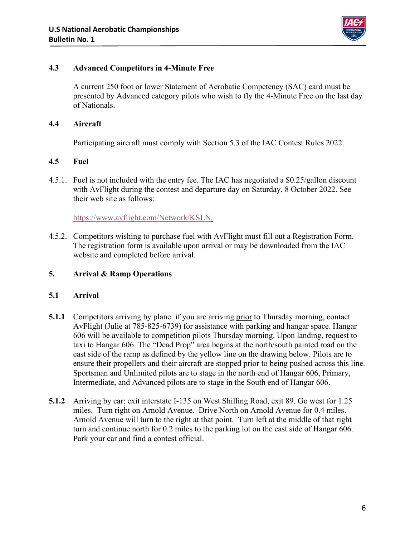

#### **4.3 Advanced Competitors in 4-Minute Free**

A current 250 foot or lower Statement of Aerobatic Competency (SAC) card must be presented by Advanced category pilots who wish to fly the 4-Minute Free on the last day of Nationals.

#### **4.4 Aircraft**

Participating aircraft must comply with Section 5.3 of the IAC Contest Rules 2022.

#### **4.5 Fuel**

4.5.1. Fuel is not included with the entry fee. The IAC has negotiated a \$0.25/gallon discount with AvFlight during the contest and departure day on Saturday, 8 October 2022. See their web site as follows:

https://www.avflight.com/Network/KSLN.

4.5.2. Competitors wishing to purchase fuel with AvFlight must fill out a Registration Form. The registration form is available upon arrival or may be downloaded from the IAC website and completed before arrival.

#### **5. Arrival & Ramp Operations**

#### **5.1 Arrival**

- **5.1.1** Competitors arriving by plane: if you are arriving prior to Thursday morning, contact AvFlight (Julie at 785-825-6739) for assistance with parking and hangar space. Hangar 606 will be available to competition pilots Thursday morning. Upon landing, request to taxi to Hangar 606. The "Dead Prop" area begins at the north/south painted road on the east side of the ramp as defined by the yellow line on the drawing below. Pilots are to ensure their propellers and their aircraft are stopped prior to being pushed across this line. Sportsman and Unlimited pilots are to stage in the north end of Hangar 606, Primary, Intermediate, and Advanced pilots are to stage in the South end of Hangar 606.
- **5.1.2** Arriving by car: exit interstate I-135 on West Shilling Road, exit 89. Go west for 1.25 miles. Turn right on Arnold Avenue. Drive North on Arnold Avenue for 0.4 miles. Arnold Avenue will turn to the right at that point. Turn left at the middle of that right turn and continue north for 0.2 miles to the parking lot on the east side of Hangar 606. Park your car and find a contest official.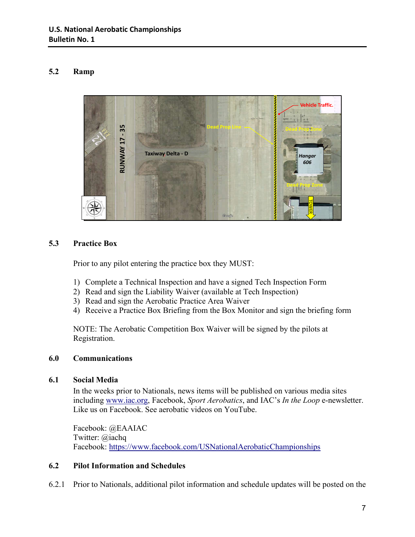#### **5.2 Ramp**



#### **5.3 Practice Box**

Prior to any pilot entering the practice box they MUST:

- 1) Complete a Technical Inspection and have a signed Tech Inspection Form
- 2) Read and sign the Liability Waiver (available at Tech Inspection)
- 3) Read and sign the Aerobatic Practice Area Waiver
- 4) Receive a Practice Box Briefing from the Box Monitor and sign the briefing form

NOTE: The Aerobatic Competition Box Waiver will be signed by the pilots at Registration.

#### **6.0 Communications**

#### **6.1 Social Media**

In the weeks prior to Nationals, news items will be published on various media sites including www.iac.org, Facebook, *Sport Aerobatics*, and IAC's *In the Loop* e-newsletter. Like us on Facebook. See aerobatic videos on YouTube.

Facebook: @EAAIAC Twitter: @iachq Facebook: https://www.facebook.com/USNationalAerobaticChampionships

#### **6.2 Pilot Information and Schedules**

6.2.1 Prior to Nationals, additional pilot information and schedule updates will be posted on the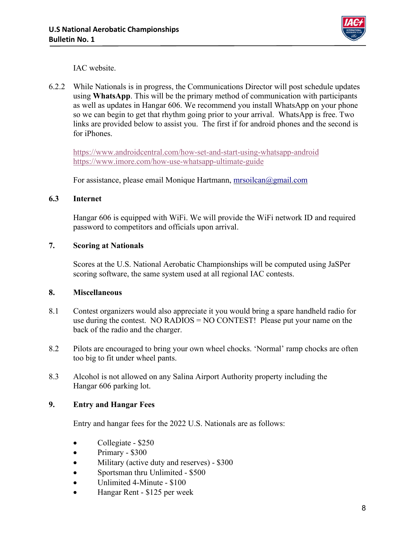

IAC website.

6.2.2 While Nationals is in progress, the Communications Director will post schedule updates using **WhatsApp**. This will be the primary method of communication with participants as well as updates in Hangar 606. We recommend you install WhatsApp on your phone so we can begin to get that rhythm going prior to your arrival. WhatsApp is free. Two links are provided below to assist you. The first if for android phones and the second is for iPhones.

https://www.androidcentral.com/how-set-and-start-using-whatsapp-android https://www.imore.com/how-use-whatsapp-ultimate-guide

For assistance, please email Monique Hartmann, mrsoilcan@gmail.com

#### **6.3 Internet**

Hangar 606 is equipped with WiFi. We will provide the WiFi network ID and required password to competitors and officials upon arrival.

#### **7. Scoring at Nationals**

Scores at the U.S. National Aerobatic Championships will be computed using JaSPer scoring software, the same system used at all regional IAC contests.

#### **8. Miscellaneous**

- 8.1 Contest organizers would also appreciate it you would bring a spare handheld radio for use during the contest. NO RADIOS = NO CONTEST! Please put your name on the back of the radio and the charger.
- 8.2 Pilots are encouraged to bring your own wheel chocks. 'Normal' ramp chocks are often too big to fit under wheel pants.
- 8.3 Alcohol is not allowed on any Salina Airport Authority property including the Hangar 606 parking lot.

#### **9. Entry and Hangar Fees**

Entry and hangar fees for the 2022 U.S. Nationals are as follows:

- $\bullet$  Collegiate \$250
- $\bullet$  Primary \$300
- Military (active duty and reserves) \$300
- Sportsman thru Unlimited \$500
- Unlimited 4-Minute \$100
- Hangar Rent \$125 per week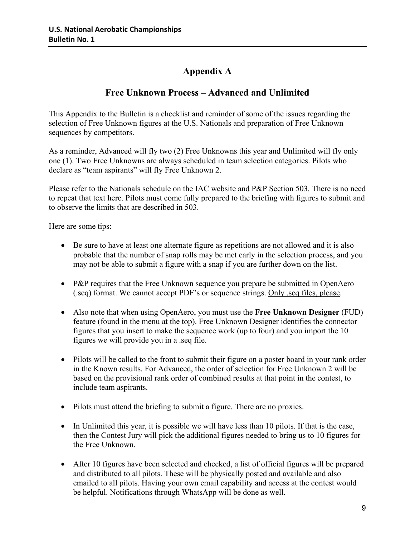### **Appendix A**

### **Free Unknown Process – Advanced and Unlimited**

This Appendix to the Bulletin is a checklist and reminder of some of the issues regarding the selection of Free Unknown figures at the U.S. Nationals and preparation of Free Unknown sequences by competitors.

As a reminder, Advanced will fly two (2) Free Unknowns this year and Unlimited will fly only one (1). Two Free Unknowns are always scheduled in team selection categories. Pilots who declare as "team aspirants" will fly Free Unknown 2.

Please refer to the Nationals schedule on the IAC website and P&P Section 503. There is no need to repeat that text here. Pilots must come fully prepared to the briefing with figures to submit and to observe the limits that are described in 503.

Here are some tips:

- Be sure to have at least one alternate figure as repetitions are not allowed and it is also probable that the number of snap rolls may be met early in the selection process, and you may not be able to submit a figure with a snap if you are further down on the list.
- P&P requires that the Free Unknown sequence you prepare be submitted in OpenAero (.seq) format. We cannot accept PDF's or sequence strings. Only .seq files, please.
- Also note that when using OpenAero, you must use the **Free Unknown Designer** (FUD) feature (found in the menu at the top). Free Unknown Designer identifies the connector figures that you insert to make the sequence work (up to four) and you import the 10 figures we will provide you in a .seq file.
- Pilots will be called to the front to submit their figure on a poster board in your rank order in the Known results. For Advanced, the order of selection for Free Unknown 2 will be based on the provisional rank order of combined results at that point in the contest, to include team aspirants.
- Pilots must attend the briefing to submit a figure. There are no proxies.
- $\bullet$  In Unlimited this year, it is possible we will have less than 10 pilots. If that is the case, then the Contest Jury will pick the additional figures needed to bring us to 10 figures for the Free Unknown.
- After 10 figures have been selected and checked, a list of official figures will be prepared and distributed to all pilots. These will be physically posted and available and also emailed to all pilots. Having your own email capability and access at the contest would be helpful. Notifications through WhatsApp will be done as well.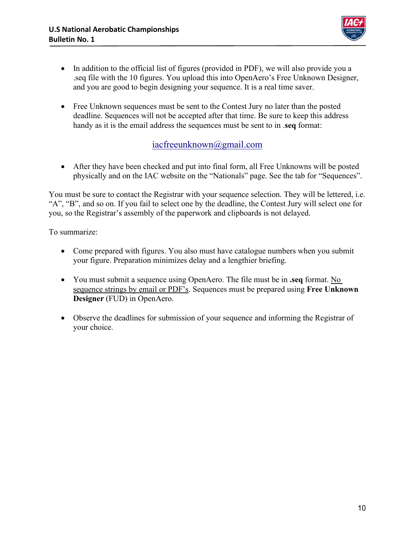

- In addition to the official list of figures (provided in PDF), we will also provide you a .seq file with the 10 figures. You upload this into OpenAero's Free Unknown Designer, and you are good to begin designing your sequence. It is a real time saver.
- Free Unknown sequences must be sent to the Contest Jury no later than the posted deadline. Sequences will not be accepted after that time. Be sure to keep this address handy as it is the email address the sequences must be sent to in .**seq** format:

### iacfreeunknown@gmail.com

 After they have been checked and put into final form, all Free Unknowns will be posted physically and on the IAC website on the "Nationals" page. See the tab for "Sequences".

You must be sure to contact the Registrar with your sequence selection. They will be lettered, i.e. "A", "B", and so on. If you fail to select one by the deadline, the Contest Jury will select one for you, so the Registrar's assembly of the paperwork and clipboards is not delayed.

To summarize:

- Come prepared with figures. You also must have catalogue numbers when you submit your figure. Preparation minimizes delay and a lengthier briefing.
- You must submit a sequence using OpenAero. The file must be in **.seq** format. No sequence strings by email or PDF's. Sequences must be prepared using **Free Unknown Designer** (FUD) in OpenAero.
- Observe the deadlines for submission of your sequence and informing the Registrar of your choice.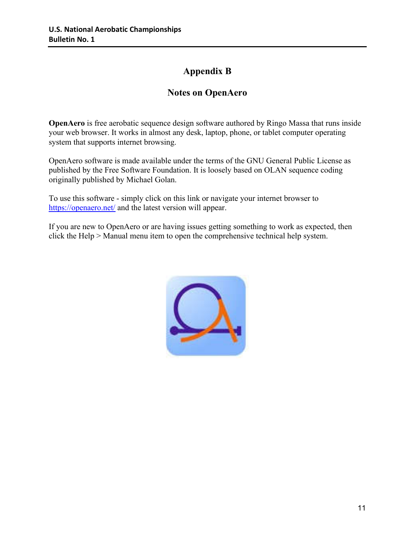### **Appendix B**

### **Notes on OpenAero**

**OpenAero** is free aerobatic sequence design software authored by Ringo Massa that runs inside your web browser. It works in almost any desk, laptop, phone, or tablet computer operating system that supports internet browsing.

OpenAero software is made available under the terms of the GNU General Public License as published by the Free Software Foundation. It is loosely based on OLAN sequence coding originally published by Michael Golan.

To use this software - simply click on this link or navigate your internet browser to https://openaero.net/ and the latest version will appear.

If you are new to OpenAero or are having issues getting something to work as expected, then click the Help > Manual menu item to open the comprehensive technical help system.

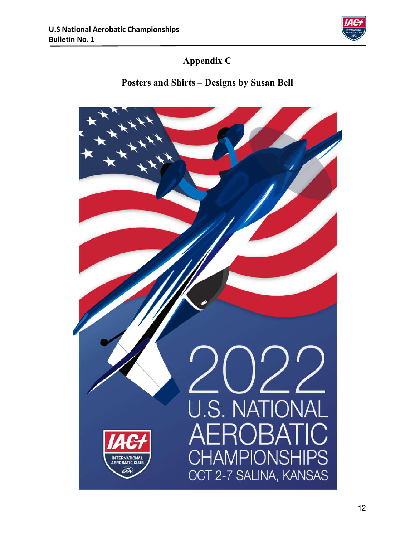

# **Appendix C**

# **Posters and Shirts – Designs by Susan Bell**

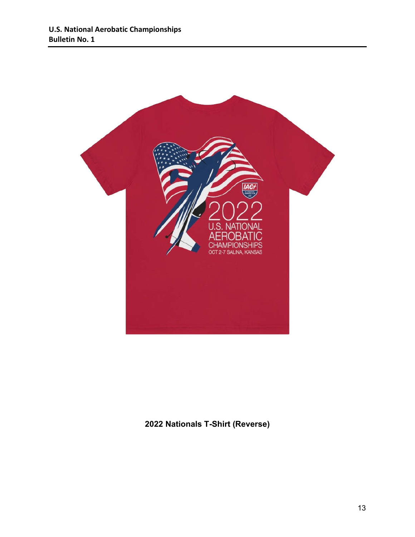

**2022 Nationals T-Shirt (Reverse)**